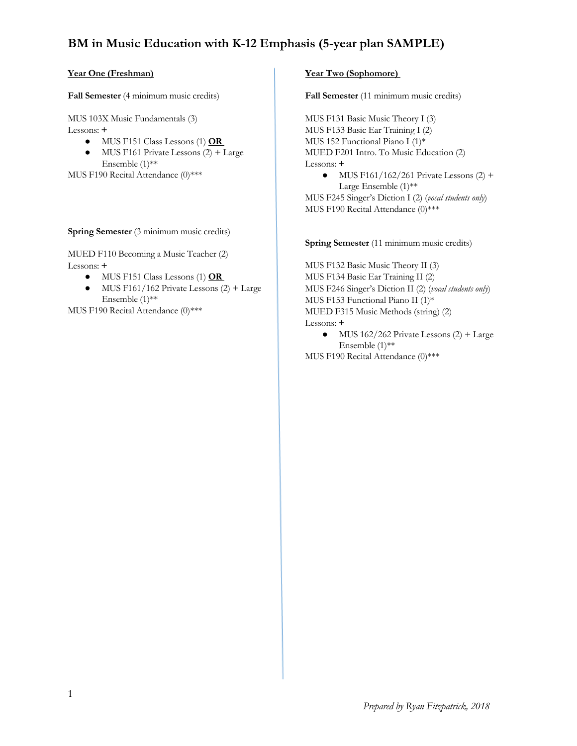# **BM in Music Education with K-12 Emphasis (5-year plan SAMPLE)**

### **Year One (Freshman)**

**Fall Semester** (4 minimum music credits)

MUS 103X Music Fundamentals (3)

- Lessons: **+**
	- MUS F151 Class Lessons (1) OR
	- $\bullet$  MUS F161 Private Lessons (2) + Large Ensemble (1)\*\*

MUS F190 Recital Attendance (0)\*\*\*

### **Spring Semester** (3 minimum music credits)

MUED F110 Becoming a Music Teacher (2) Lessons: **+**

- $\bullet$  MUS F151 Class Lessons (1) **OR**
- $\bullet$  MUS F161/162 Private Lessons (2) + Large Ensemble  $(1)$ <sup>\*\*</sup>

MUS F190 Recital Attendance (0)\*\*\*

### **Year Two (Sophomore)**

**Fall Semester** (11 minimum music credits)

MUS F131 Basic Music Theory I (3) MUS F133 Basic Ear Training I (2) MUS 152 Functional Piano I (1)\* MUED F201 Intro. To Music Education (2) Lessons: **+**

 $\bullet$  MUS F161/162/261 Private Lessons (2) + Large Ensemble (1)\*\*

MUS F245 Singer's Diction I (2) (*vocal students only*) MUS F190 Recital Attendance (0)\*\*\*

#### **Spring Semester** (11 minimum music credits)

MUS F132 Basic Music Theory II (3) MUS F134 Basic Ear Training II (2) MUS F246 Singer's Diction II (2) (*vocal students only*) MUS F153 Functional Piano II (1)\* MUED F315 Music Methods (string) (2) Lessons: **+**

 $\bullet$  MUS 162/262 Private Lessons (2) + Large Ensemble  $(1)$ \*\*

MUS F190 Recital Attendance (0)\*\*\*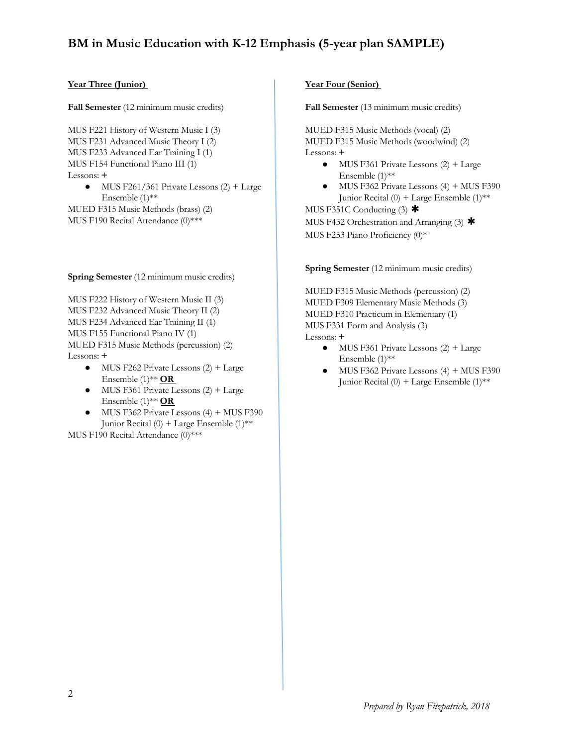## **BM in Music Education with K-12 Emphasis (5-year plan SAMPLE)**

### **Year Three (Junior)**

**Fall Semester** (12 minimum music credits)

MUS F221 History of Western Music I (3) MUS F231 Advanced Music Theory I (2) MUS F233 Advanced Ear Training I (1) MUS F154 Functional Piano III (1) Lessons: **+**

 $\bullet$  MUS F261/361 Private Lessons (2) + Large Ensemble (1)\*\*

MUED F315 Music Methods (brass) (2) MUS F190 Recital Attendance (0)\*\*\*

**Spring Semester** (12 minimum music credits)

MUS F222 History of Western Music II (3) MUS F232 Advanced Music Theory II (2) MUS F234 Advanced Ear Training II (1) MUS F155 Functional Piano IV (1) MUED F315 Music Methods (percussion) (2) Lessons: **+**

- $\bullet$  MUS F262 Private Lessons (2) + Large Ensemble (1)\*\* **OR**
- $\bullet$  MUS F361 Private Lessons (2) + Large Ensemble (1)\*\* **OR**
- $\bullet$  MUS F362 Private Lessons (4) + MUS F390 Junior Recital (0) + Large Ensemble (1)\*\*

MUS F190 Recital Attendance (0)\*\*\*

### **Year Four (Senior)**

**Fall Semester** (13 minimum music credits)

MUED F315 Music Methods (vocal) (2) MUED F315 Music Methods (woodwind) (2) Lessons: **+**

- $\bullet$  MUS F361 Private Lessons (2) + Large Ensemble (1)\*\*
- MUS F362 Private Lessons  $(4)$  + MUS F390 Junior Recital  $(0)$  + Large Ensemble  $(1)$ <sup>\*\*</sup>

MUS F351C Conducting  $(3)$  \* MUS F432 Orchestration and Arranging  $(3)$  \*

MUS F253 Piano Proficiency (0)\*

**Spring Semester** (12 minimum music credits)

MUED F315 Music Methods (percussion) (2) MUED F309 Elementary Music Methods (3) MUED F310 Practicum in Elementary (1) MUS F331 Form and Analysis (3) Lessons: **+**

- $\bullet$  MUS F361 Private Lessons (2) + Large Ensemble (1)\*\*
- MUS F362 Private Lessons  $(4)$  + MUS F390 Junior Recital  $(0)$  + Large Ensemble  $(1)$ \*\*